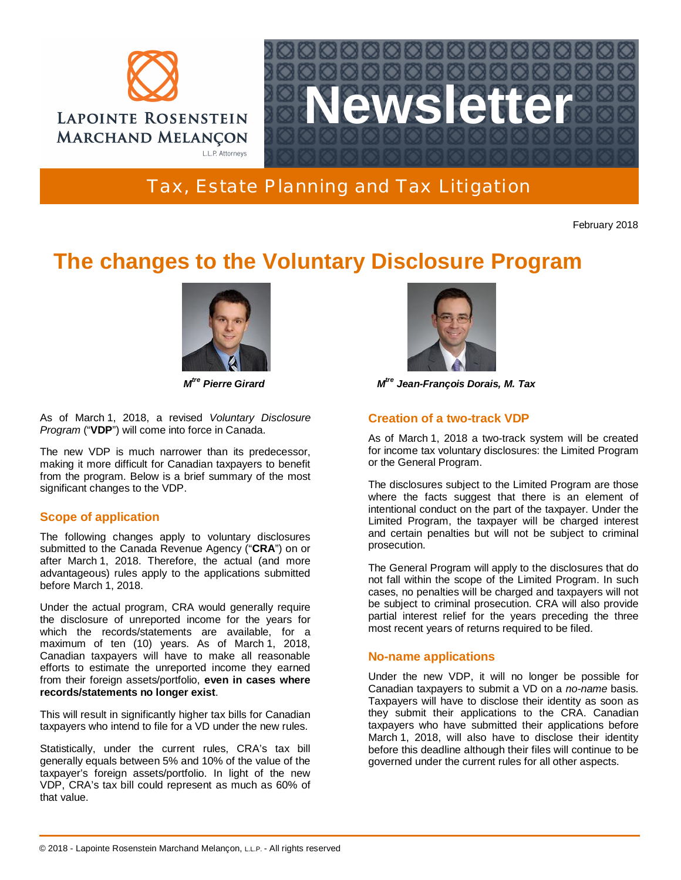



Tax, Estate Planning and Tax Litigation

February 2018

# **The changes to the Voluntary Disclosure Program**



*M tre Pierre Girard M*

As of March 1, 2018, a revised *Voluntary Disclosure Program* ("**VDP**") will come into force in Canada.

The new VDP is much narrower than its predecessor, making it more difficult for Canadian taxpayers to benefit from the program. Below is a brief summary of the most significant changes to the VDP.

## **Scope of application**

The following changes apply to voluntary disclosures submitted to the Canada Revenue Agency ("**CRA**") on or after March 1, 2018. Therefore, the actual (and more advantageous) rules apply to the applications submitted before March 1, 2018.

Under the actual program, CRA would generally require the disclosure of unreported income for the years for which the records/statements are available, for a maximum of ten (10) years. As of March 1, 2018, Canadian taxpayers will have to make all reasonable efforts to estimate the unreported income they earned from their foreign assets/portfolio, **even in cases where records/statements no longer exist**.

This will result in significantly higher tax bills for Canadian taxpayers who intend to file for a VD under the new rules.

Statistically, under the current rules, CRA's tax bill generally equals between 5% and 10% of the value of the taxpayer's foreign assets/portfolio. In light of the new VDP, CRA's tax bill could represent as much as 60% of that value.



*tre Jean-François Dorais, M. Tax*

### **Creation of a two-track VDP**

As of March 1, 2018 a two-track system will be created for income tax voluntary disclosures: the Limited Program or the General Program.

The disclosures subject to the Limited Program are those where the facts suggest that there is an element of intentional conduct on the part of the taxpayer. Under the Limited Program, the taxpayer will be charged interest and certain penalties but will not be subject to criminal prosecution.

The General Program will apply to the disclosures that do not fall within the scope of the Limited Program. In such cases, no penalties will be charged and taxpayers will not be subject to criminal prosecution. CRA will also provide partial interest relief for the years preceding the three most recent years of returns required to be filed.

#### **No-name applications**

Under the new VDP, it will no longer be possible for Canadian taxpayers to submit a VD on a *no-name* basis. Taxpayers will have to disclose their identity as soon as they submit their applications to the CRA. Canadian taxpayers who have submitted their applications before March 1, 2018, will also have to disclose their identity before this deadline although their files will continue to be governed under the current rules for all other aspects.